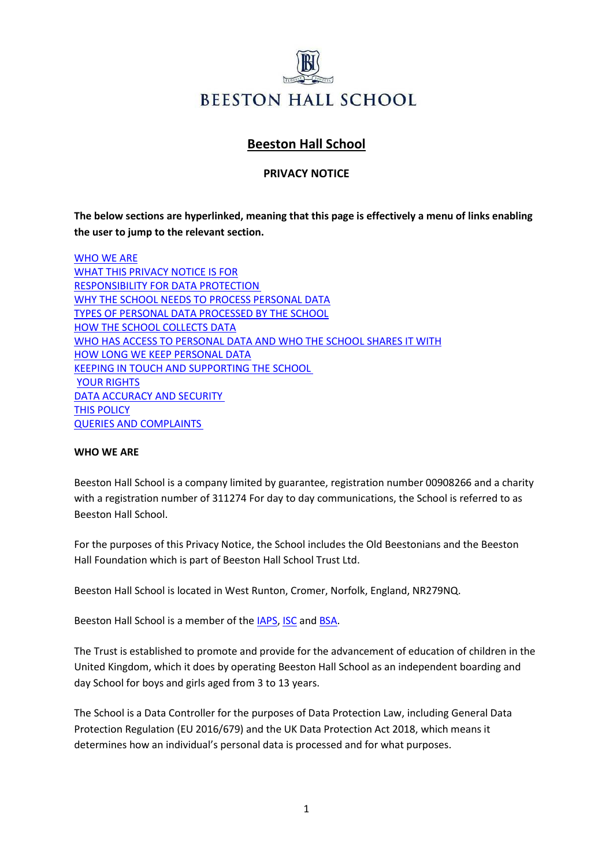

# **Beeston Hall School**

## **PRIVACY NOTICE**

**The below sections are hyperlinked, meaning that this page is effectively a menu of links enabling the user to jump to the relevant section.**

[WHO WE ARE](#page-0-0) [WHAT THIS PRIVACY NOTICE IS FOR](#page-0-1) [RESPONSIBILITY FOR DATA PROTECTION](#page-1-0) [WHY THE SCHOOL NEEDS TO PROCESS PERSONAL DATA](#page-1-1) [TYPES OF PERSONAL DATA PROCESSED BY THE SCHOOL](#page-3-0) [HOW THE SCHOOL COLLECTS DATA](#page-3-1) [WHO HAS ACCESS TO PERSONAL DATA AND WHO THE SCHOOL SHARES IT WITH](#page-4-0) [HOW LONG WE KEEP PERSONAL DATA](#page-4-1) [KEEPING IN TOUCH AND SUPPORTING THE SCHOOL](#page-5-0) [YOUR RIGHTS](#page-5-1) [DATA ACCURACY AND SECURITY](#page-7-0) [THIS POLICY](#page-8-0) [QUERIES AND COMPLAINTS](#page-8-1)

#### <span id="page-0-0"></span>**WHO WE ARE**

Beeston Hall School is a company limited by guarantee, registration number 00908266 and a charity with a registration number of 311274 For day to day communications, the School is referred to as Beeston Hall School.

For the purposes of this Privacy Notice, the School includes the Old Beestonians and the Beeston Hall Foundation which is part of Beeston Hall School Trust Ltd.

Beeston Hall School is located in West Runton, Cromer, Norfolk, England, NR279NQ.

Beeston Hall School is a member of th[e IAPS,](https://iaps.uk/) [ISC a](https://www.isc.co.uk/)nd [BSA.](http://www.boarding.org.uk/)

The Trust is established to promote and provide for the advancement of education of children in the United Kingdom, which it does by operating Beeston Hall School as an independent boarding and day School for boys and girls aged from 3 to 13 years.

<span id="page-0-1"></span>The School is a Data Controller for the purposes of Data Protection Law, including General Data Protection Regulation (EU 2016/679) and the UK Data Protection Act 2018, which means it determines how an individual's personal data is processed and for what purposes.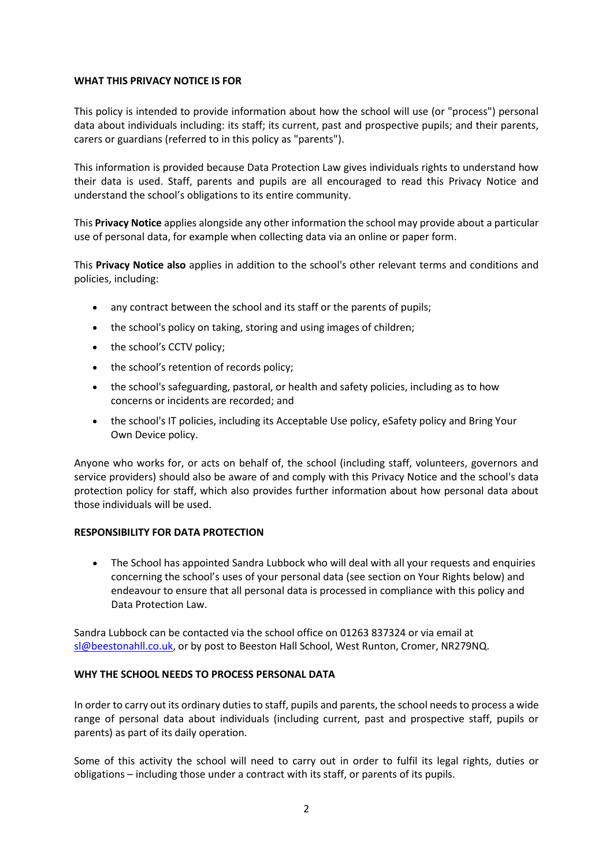#### **WHAT THIS PRIVACY NOTICE IS FOR**

This policy is intended to provide information about how the school will use (or "process") personal data about individuals including: its staff; its current, past and prospective pupils; and their parents, carers or guardians (referred to in this policy as "parents").

This information is provided because Data Protection Law gives individuals rights to understand how their data is used. Staff, parents and pupils are all encouraged to read this Privacy Notice and understand the school's obligations to its entire community.

This **Privacy Notice** applies alongside any other information the school may provide about a particular use of personal data, for example when collecting data via an online or paper form.

This **Privacy Notice also** applies in addition to the school's other relevant terms and conditions and policies, including:

- any contract between the school and its staff or the parents of pupils;
- the school's policy on taking, storing and using images of children;
- the school's CCTV policy;
- the school's retention of records policy;
- the school's safeguarding, pastoral, or health and safety policies, including as to how concerns or incidents are recorded; and
- the school's IT policies, including its Acceptable Use policy, eSafety policy and Bring Your Own Device policy.

Anyone who works for, or acts on behalf of, the school (including staff, volunteers, governors and service providers) should also be aware of and comply with this Privacy Notice and the school's data protection policy for staff, which also provides further information about how personal data about those individuals will be used.

#### <span id="page-1-0"></span>**RESPONSIBILITY FOR DATA PROTECTION**

• The School has appointed Sandra Lubbock who will deal with all your requests and enquiries concerning the school's uses of your personal data (see section on Your Rights below) and endeavour to ensure that all personal data is processed in compliance with this policy and Data Protection Law.

Sandra Lubbock can be contacted via the school office on 01263 837324 or via email at [sl@beestonahll.co.uk,](mailto:sl@beestonahll.co.uk) or by post to Beeston Hall School, West Runton, Cromer, NR279NQ.

## <span id="page-1-1"></span>**WHY THE SCHOOL NEEDS TO PROCESS PERSONAL DATA**

In order to carry out its ordinary duties to staff, pupils and parents, the school needs to process a wide range of personal data about individuals (including current, past and prospective staff, pupils or parents) as part of its daily operation.

Some of this activity the school will need to carry out in order to fulfil its legal rights, duties or obligations – including those under a contract with its staff, or parents of its pupils.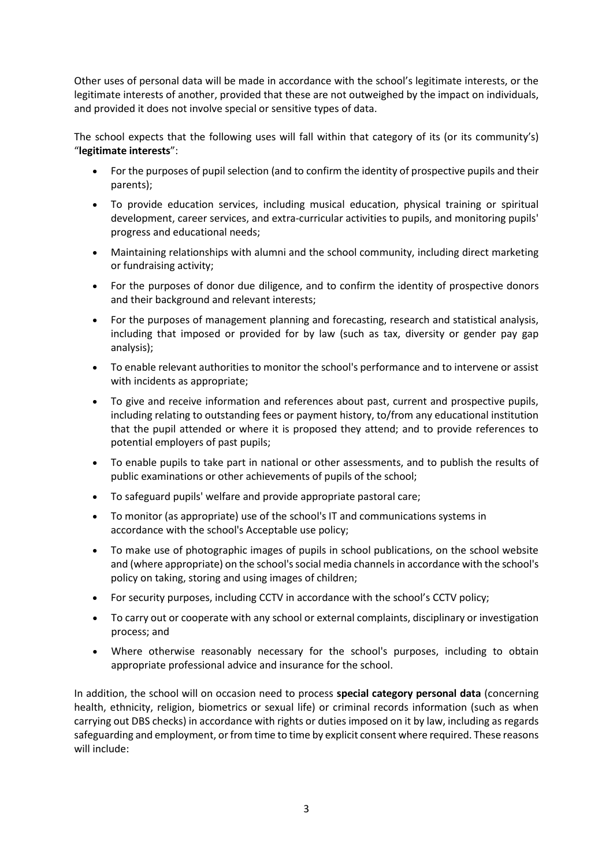Other uses of personal data will be made in accordance with the school's legitimate interests, or the legitimate interests of another, provided that these are not outweighed by the impact on individuals, and provided it does not involve special or sensitive types of data.

The school expects that the following uses will fall within that category of its (or its community's) "**legitimate interests**":

- For the purposes of pupil selection (and to confirm the identity of prospective pupils and their parents);
- To provide education services, including musical education, physical training or spiritual development, career services, and extra-curricular activities to pupils, and monitoring pupils' progress and educational needs;
- Maintaining relationships with alumni and the school community, including direct marketing or fundraising activity;
- For the purposes of donor due diligence, and to confirm the identity of prospective donors and their background and relevant interests;
- For the purposes of management planning and forecasting, research and statistical analysis, including that imposed or provided for by law (such as tax, diversity or gender pay gap analysis);
- To enable relevant authorities to monitor the school's performance and to intervene or assist with incidents as appropriate;
- To give and receive information and references about past, current and prospective pupils, including relating to outstanding fees or payment history, to/from any educational institution that the pupil attended or where it is proposed they attend; and to provide references to potential employers of past pupils;
- To enable pupils to take part in national or other assessments, and to publish the results of public examinations or other achievements of pupils of the school;
- To safeguard pupils' welfare and provide appropriate pastoral care;
- To monitor (as appropriate) use of the school's IT and communications systems in accordance with the school's Acceptable use policy;
- To make use of photographic images of pupils in school publications, on the school website and (where appropriate) on the school's social media channels in accordance with the school's policy on taking, storing and using images of children;
- For security purposes, including CCTV in accordance with the school's CCTV policy;
- To carry out or cooperate with any school or external complaints, disciplinary or investigation process; and
- Where otherwise reasonably necessary for the school's purposes, including to obtain appropriate professional advice and insurance for the school.

In addition, the school will on occasion need to process **special category personal data** (concerning health, ethnicity, religion, biometrics or sexual life) or criminal records information (such as when carrying out DBS checks) in accordance with rights or duties imposed on it by law, including as regards safeguarding and employment, or from time to time by explicit consent where required. These reasons will include: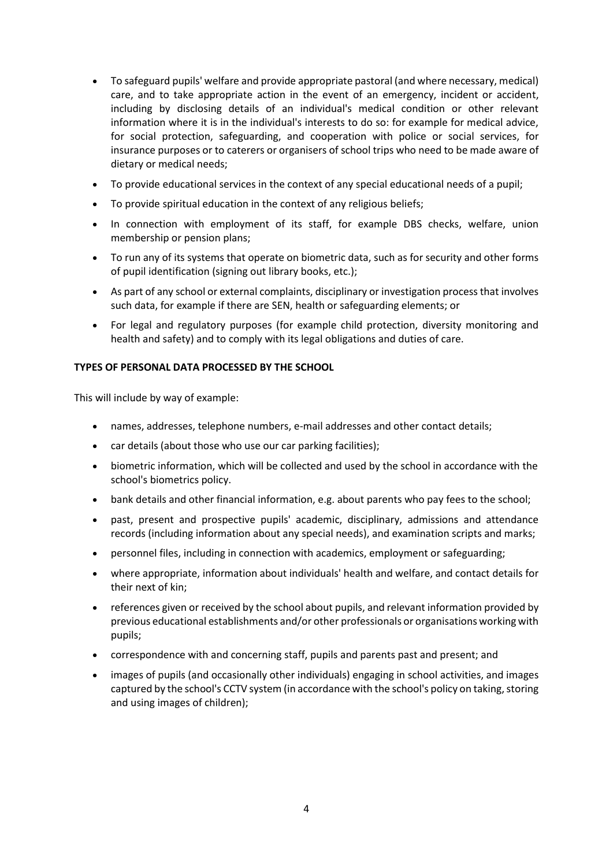- To safeguard pupils' welfare and provide appropriate pastoral (and where necessary, medical) care, and to take appropriate action in the event of an emergency, incident or accident, including by disclosing details of an individual's medical condition or other relevant information where it is in the individual's interests to do so: for example for medical advice, for social protection, safeguarding, and cooperation with police or social services, for insurance purposes or to caterers or organisers of school trips who need to be made aware of dietary or medical needs;
- To provide educational services in the context of any special educational needs of a pupil;
- To provide spiritual education in the context of any religious beliefs;
- In connection with employment of its staff, for example DBS checks, welfare, union membership or pension plans;
- To run any of its systems that operate on biometric data, such as for security and other forms of pupil identification (signing out library books, etc.);
- As part of any school or external complaints, disciplinary or investigation process that involves such data, for example if there are SEN, health or safeguarding elements; or
- For legal and regulatory purposes (for example child protection, diversity monitoring and health and safety) and to comply with its legal obligations and duties of care.

## <span id="page-3-0"></span>**TYPES OF PERSONAL DATA PROCESSED BY THE SCHOOL**

This will include by way of example:

- names, addresses, telephone numbers, e-mail addresses and other contact details;
- car details (about those who use our car parking facilities);
- biometric information, which will be collected and used by the school in accordance with the school's biometrics policy.
- bank details and other financial information, e.g. about parents who pay fees to the school;
- past, present and prospective pupils' academic, disciplinary, admissions and attendance records (including information about any special needs), and examination scripts and marks;
- personnel files, including in connection with academics, employment or safeguarding;
- where appropriate, information about individuals' health and welfare, and contact details for their next of kin;
- references given or received by the school about pupils, and relevant information provided by previous educational establishments and/or other professionals or organisations working with pupils;
- correspondence with and concerning staff, pupils and parents past and present; and
- <span id="page-3-1"></span>• images of pupils (and occasionally other individuals) engaging in school activities, and images captured by the school's CCTV system (in accordance with the school's policy on taking, storing and using images of children);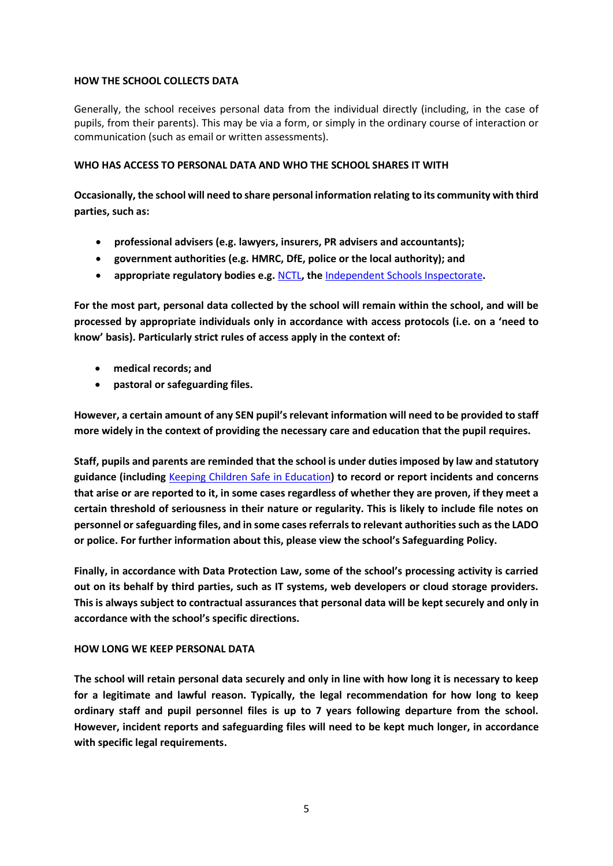#### **HOW THE SCHOOL COLLECTS DATA**

Generally, the school receives personal data from the individual directly (including, in the case of pupils, from their parents). This may be via a form, or simply in the ordinary course of interaction or communication (such as email or written assessments).

## <span id="page-4-0"></span>**WHO HAS ACCESS TO PERSONAL DATA AND WHO THE SCHOOL SHARES IT WITH**

**Occasionally, the school will need to share personal information relating to its community with third parties, such as:**

- **professional advisers (e.g. lawyers, insurers, PR advisers and accountants);**
- **government authorities (e.g. HMRC, DfE, police or the local authority); and**
- **appropriate regulatory bodies e.g.** [NCTL](https://www.gov.uk/government/organisations/national-college-for-teaching-and-leadership)**, the** [Independent Schools Inspectorate](https://www.isi.net/)**.**

**For the most part, personal data collected by the school will remain within the school, and will be processed by appropriate individuals only in accordance with access protocols (i.e. on a 'need to know' basis). Particularly strict rules of access apply in the context of:**

- **medical records; and**
- **pastoral or safeguarding files.**

**However, a certain amount of any SEN pupil's relevant information will need to be provided to staff more widely in the context of providing the necessary care and education that the pupil requires.**

**Staff, pupils and parents are reminded that the school is under duties imposed by law and statutory guidance (including** Keeping Children Safe in Education**) to record or report incidents and concerns that arise or are reported to it, in some cases regardless of whether they are proven, if they meet a certain threshold of seriousness in their nature or regularity. This is likely to include file notes on personnel or safeguarding files, and in some cases referrals to relevant authorities such as the LADO or police. For further information about this, please view the school's Safeguarding Policy.** 

**Finally, in accordance with Data Protection Law, some of the school's processing activity is carried out on its behalf by third parties, such as IT systems, web developers or cloud storage providers. This is always subject to contractual assurances that personal data will be kept securely and only in accordance with the school's specific directions.** 

## <span id="page-4-1"></span>**HOW LONG WE KEEP PERSONAL DATA**

**The school will retain personal data securely and only in line with how long it is necessary to keep for a legitimate and lawful reason. Typically, the legal recommendation for how long to keep ordinary staff and pupil personnel files is up to 7 years following departure from the school. However, incident reports and safeguarding files will need to be kept much longer, in accordance with specific legal requirements.**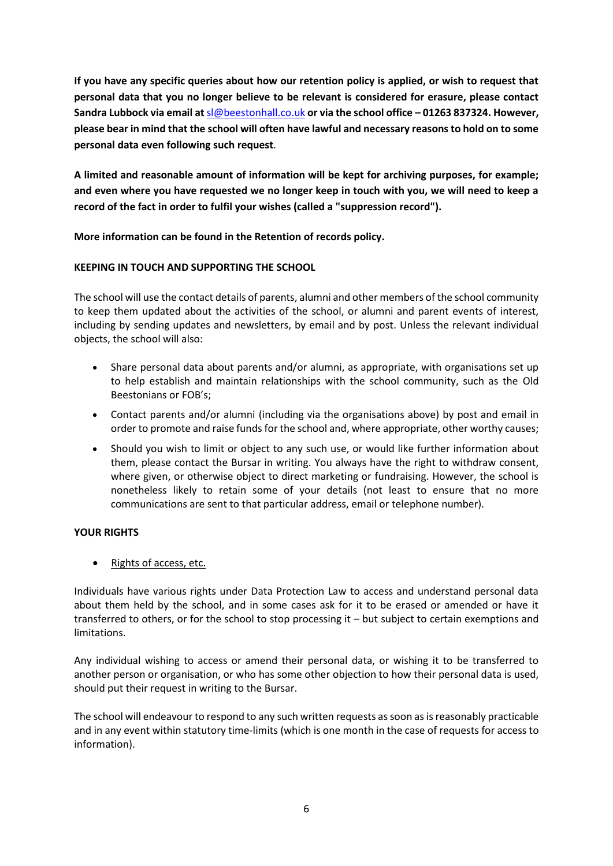**If you have any specific queries about how our retention policy is applied, or wish to request that personal data that you no longer believe to be relevant is considered for erasure, please contact Sandra Lubbock via email at** [sl@beestonhall.co.uk](mailto:sl@beestonhall.co.uk) **or via the school office – 01263 837324. However, please bear in mind that the school will often have lawful and necessary reasons to hold on to some personal data even following such request**.

**A limited and reasonable amount of information will be kept for archiving purposes, for example; and even where you have requested we no longer keep in touch with you, we will need to keep a record of the fact in order to fulfil your wishes (called a "suppression record").** 

**More information can be found in the Retention of records policy.** 

# <span id="page-5-0"></span>**KEEPING IN TOUCH AND SUPPORTING THE SCHOOL**

The school will use the contact details of parents, alumni and other members of the school community to keep them updated about the activities of the school, or alumni and parent events of interest, including by sending updates and newsletters, by email and by post. Unless the relevant individual objects, the school will also:

- Share personal data about parents and/or alumni, as appropriate, with organisations set up to help establish and maintain relationships with the school community, such as the Old Beestonians or FOB's;
- Contact parents and/or alumni (including via the organisations above) by post and email in order to promote and raise funds for the school and, where appropriate, other worthy causes;
- Should you wish to limit or object to any such use, or would like further information about them, please contact the Bursar in writing. You always have the right to withdraw consent, where given, or otherwise object to direct marketing or fundraising. However, the school is nonetheless likely to retain some of your details (not least to ensure that no more communications are sent to that particular address, email or telephone number).

## <span id="page-5-1"></span>**YOUR RIGHTS**

• Rights of access, etc.

Individuals have various rights under Data Protection Law to access and understand personal data about them held by the school, and in some cases ask for it to be erased or amended or have it transferred to others, or for the school to stop processing it – but subject to certain exemptions and limitations.

Any individual wishing to access or amend their personal data, or wishing it to be transferred to another person or organisation, or who has some other objection to how their personal data is used, should put their request in writing to the Bursar.

The school will endeavour to respond to any such written requests as soon as is reasonably practicable and in any event within statutory time-limits (which is one month in the case of requests for access to information).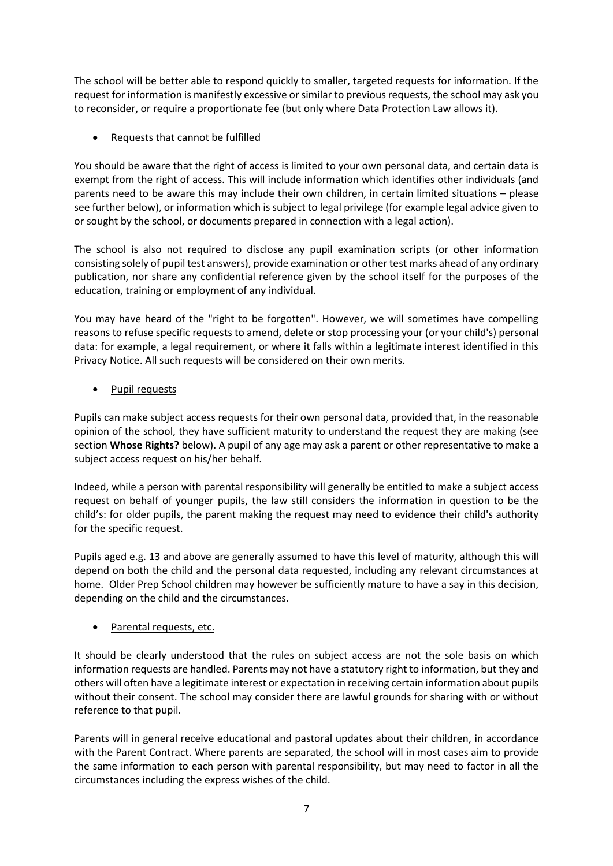The school will be better able to respond quickly to smaller, targeted requests for information. If the request for information is manifestly excessive or similar to previous requests, the school may ask you to reconsider, or require a proportionate fee (but only where Data Protection Law allows it).

# • Requests that cannot be fulfilled

You should be aware that the right of access is limited to your own personal data, and certain data is exempt from the right of access. This will include information which identifies other individuals (and parents need to be aware this may include their own children, in certain limited situations – please see further below), or information which is subject to legal privilege (for example legal advice given to or sought by the school, or documents prepared in connection with a legal action).

The school is also not required to disclose any pupil examination scripts (or other information consisting solely of pupil test answers), provide examination or other test marks ahead of any ordinary publication, nor share any confidential reference given by the school itself for the purposes of the education, training or employment of any individual.

You may have heard of the "right to be forgotten". However, we will sometimes have compelling reasons to refuse specific requests to amend, delete or stop processing your (or your child's) personal data: for example, a legal requirement, or where it falls within a legitimate interest identified in this Privacy Notice. All such requests will be considered on their own merits.

# Pupil requests

Pupils can make subject access requests for their own personal data, provided that, in the reasonable opinion of the school, they have sufficient maturity to understand the request they are making (see section **Whose Rights?** below). A pupil of any age may ask a parent or other representative to make a subject access request on his/her behalf.

Indeed, while a person with parental responsibility will generally be entitled to make a subject access request on behalf of younger pupils, the law still considers the information in question to be the child's: for older pupils, the parent making the request may need to evidence their child's authority for the specific request.

Pupils aged e.g. 13 and above are generally assumed to have this level of maturity, although this will depend on both the child and the personal data requested, including any relevant circumstances at home. Older Prep School children may however be sufficiently mature to have a say in this decision, depending on the child and the circumstances.

## Parental requests, etc.

It should be clearly understood that the rules on subject access are not the sole basis on which information requests are handled. Parents may not have a statutory right to information, but they and others will often have a legitimate interest or expectation in receiving certain information about pupils without their consent. The school may consider there are lawful grounds for sharing with or without reference to that pupil.

Parents will in general receive educational and pastoral updates about their children, in accordance with the Parent Contract. Where parents are separated, the school will in most cases aim to provide the same information to each person with parental responsibility, but may need to factor in all the circumstances including the express wishes of the child.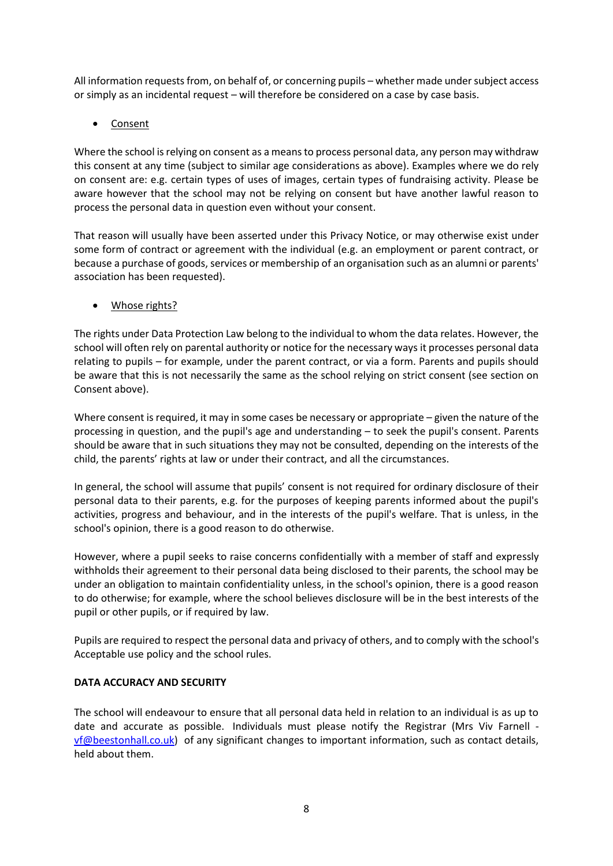All information requests from, on behalf of, or concerning pupils – whether made under subject access or simply as an incidental request – will therefore be considered on a case by case basis.

• Consent

Where the school is relying on consent as a means to process personal data, any person may withdraw this consent at any time (subject to similar age considerations as above). Examples where we do rely on consent are: e.g. certain types of uses of images, certain types of fundraising activity. Please be aware however that the school may not be relying on consent but have another lawful reason to process the personal data in question even without your consent.

That reason will usually have been asserted under this Privacy Notice, or may otherwise exist under some form of contract or agreement with the individual (e.g. an employment or parent contract, or because a purchase of goods, services or membership of an organisation such as an alumni or parents' association has been requested).

• Whose rights?

The rights under Data Protection Law belong to the individual to whom the data relates. However, the school will often rely on parental authority or notice for the necessary ways it processes personal data relating to pupils – for example, under the parent contract, or via a form. Parents and pupils should be aware that this is not necessarily the same as the school relying on strict consent (see section on Consent above).

Where consent is required, it may in some cases be necessary or appropriate – given the nature of the processing in question, and the pupil's age and understanding – to seek the pupil's consent. Parents should be aware that in such situations they may not be consulted, depending on the interests of the child, the parents' rights at law or under their contract, and all the circumstances.

In general, the school will assume that pupils' consent is not required for ordinary disclosure of their personal data to their parents, e.g. for the purposes of keeping parents informed about the pupil's activities, progress and behaviour, and in the interests of the pupil's welfare. That is unless, in the school's opinion, there is a good reason to do otherwise.

However, where a pupil seeks to raise concerns confidentially with a member of staff and expressly withholds their agreement to their personal data being disclosed to their parents, the school may be under an obligation to maintain confidentiality unless, in the school's opinion, there is a good reason to do otherwise; for example, where the school believes disclosure will be in the best interests of the pupil or other pupils, or if required by law.

Pupils are required to respect the personal data and privacy of others, and to comply with the school's Acceptable use policy and the school rules.

## <span id="page-7-0"></span>**DATA ACCURACY AND SECURITY**

The school will endeavour to ensure that all personal data held in relation to an individual is as up to date and accurate as possible. Individuals must please notify the Registrar (Mrs Viv Farnell [vf@beestonhall.co.uk\)](mailto:vf@beestonhall.co.uk) of any significant changes to important information, such as contact details, held about them.